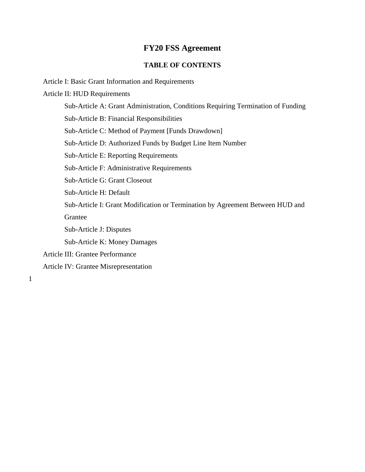#### **FY20 FSS Agreement**

#### **TABLE OF CONTENTS**

Article I: Basic Grant Information and Requirements

Article II: HUD Requirements

Sub-Article A: Grant Administration, Conditions Requiring Termination of Funding

Sub-Article B: Financial Responsibilities

Sub-Article C: Method of Payment [Funds Drawdown]

Sub-Article D: Authorized Funds by Budget Line Item Number

Sub-Article E: Reporting Requirements

Sub-Article F: Administrative Requirements

Sub-Article G: Grant Closeout

Sub-Article H: Default

Sub-Article I: Grant Modification or Termination by Agreement Between HUD and Grantee

Sub-Article J: Disputes

Sub-Article K: Money Damages

- Article III: Grantee Performance
- Article IV: Grantee Misrepresentation

1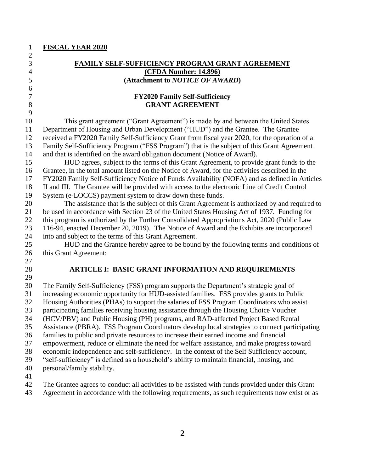| $\mathbf{1}$        | <b>FISCAL YEAR 2020</b>                                                                                                                                                           |
|---------------------|-----------------------------------------------------------------------------------------------------------------------------------------------------------------------------------|
| $\overline{c}$      |                                                                                                                                                                                   |
| 3<br>$\overline{4}$ | <b>FAMILY SELF-SUFFICIENCY PROGRAM GRANT AGREEMENT</b><br><b>(CFDA Number: 14.896)</b>                                                                                            |
| 5                   | (Attachment to NOTICE OF AWARD)                                                                                                                                                   |
| 6                   |                                                                                                                                                                                   |
| $\overline{7}$      | <b>FY2020 Family Self-Sufficiency</b>                                                                                                                                             |
| 8                   | <b>GRANT AGREEMENT</b>                                                                                                                                                            |
| 9                   |                                                                                                                                                                                   |
| 10                  | This grant agreement ("Grant Agreement") is made by and between the United States                                                                                                 |
| 11                  | Department of Housing and Urban Development ("HUD") and the Grantee. The Grantee                                                                                                  |
| 12                  | received a FY2020 Family Self-Sufficiency Grant from fiscal year 2020, for the operation of a                                                                                     |
| 13                  | Family Self-Sufficiency Program ("FSS Program") that is the subject of this Grant Agreement                                                                                       |
| 14                  | and that is identified on the award obligation document (Notice of Award).                                                                                                        |
| 15                  | HUD agrees, subject to the terms of this Grant Agreement, to provide grant funds to the                                                                                           |
| 16                  | Grantee, in the total amount listed on the Notice of Award, for the activities described in the                                                                                   |
| 17                  | FY2020 Family Self-Sufficiency Notice of Funds Availability (NOFA) and as defined in Articles                                                                                     |
| 18                  | II and III. The Grantee will be provided with access to the electronic Line of Credit Control                                                                                     |
| 19                  | System (e-LOCCS) payment system to draw down these funds.                                                                                                                         |
| 20                  | The assistance that is the subject of this Grant Agreement is authorized by and required to                                                                                       |
| 21                  | be used in accordance with Section 23 of the United States Housing Act of 1937. Funding for                                                                                       |
| 22                  | this program is authorized by the Further Consolidated Appropriations Act, 2020 (Public Law                                                                                       |
| 23                  | 116-94, enacted December 20, 2019). The Notice of Award and the Exhibits are incorporated                                                                                         |
| 24                  | into and subject to the terms of this Grant Agreement.                                                                                                                            |
| 25                  | HUD and the Grantee hereby agree to be bound by the following terms and conditions of                                                                                             |
| 26                  | this Grant Agreement:                                                                                                                                                             |
| 27                  |                                                                                                                                                                                   |
| 28                  | <b>ARTICLE I: BASIC GRANT INFORMATION AND REQUIREMENTS</b>                                                                                                                        |
| 29<br>30            |                                                                                                                                                                                   |
| 31                  | The Family Self-Sufficiency (FSS) program supports the Department's strategic goal of<br>increasing economic opportunity for HUD-assisted families. FSS provides grants to Public |
| 32                  | Housing Authorities (PHAs) to support the salaries of FSS Program Coordinators who assist                                                                                         |
| 33                  | participating families receiving housing assistance through the Housing Choice Voucher                                                                                            |
| 34                  | (HCV/PBV) and Public Housing (PH) programs, and RAD-affected Project Based Rental                                                                                                 |
| 35                  | Assistance (PBRA). FSS Program Coordinators develop local strategies to connect participating                                                                                     |
| 36                  | families to public and private resources to increase their earned income and financial                                                                                            |
| 37                  | empowerment, reduce or eliminate the need for welfare assistance, and make progress toward                                                                                        |
| 38                  | economic independence and self-sufficiency. In the context of the Self Sufficiency account,                                                                                       |
| 39                  | "self-sufficiency" is defined as a household's ability to maintain financial, housing, and                                                                                        |
| 40                  | personal/family stability.                                                                                                                                                        |
| 41                  |                                                                                                                                                                                   |
| 42                  | The Grantee agrees to conduct all activities to be assisted with funds provided under this Grant                                                                                  |

Agreement in accordance with the following requirements, as such requirements now exist or as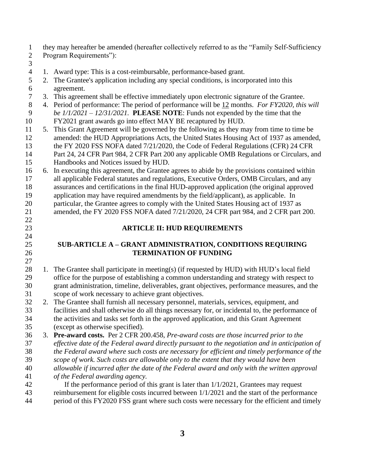they may hereafter be amended (hereafter collectively referred to as the "Family Self-Sufficiency Program Requirements"):

- 1. Award type: This is a cost-reimbursable, performance-based grant.
- 2. The Grantee's application including any special conditions, is incorporated into this agreement.
- 3. This agreement shall be effective immediately upon electronic signature of the Grantee.
- 4. Period of performance: The period of performance will be 12 months. *For FY2020, this will be 1/1/2021 – 12/31/2021.* **PLEASE NOTE**: Funds not expended by the time that the FY2021 grant awards go into effect MAY BE recaptured by HUD.
- 5. This Grant Agreement will be governed by the following as they may from time to time be amended: the HUD Appropriations Acts, the United States Housing Act of 1937 as amended, the FY 2020 FSS NOFA dated 7/21/2020, the Code of Federal Regulations (CFR) 24 CFR Part 24, 24 CFR Part 984, 2 CFR Part 200 any applicable OMB Regulations or Circulars, and Handbooks and Notices issued by HUD.
- 6. In executing this agreement, the Grantee agrees to abide by the provisions contained within all applicable Federal statutes and regulations, Executive Orders, OMB Circulars, and any assurances and certifications in the final HUD-approved application (the original approved application may have required amendments by the field/applicant), as applicable. In particular, the Grantee agrees to comply with the United States Housing act of 1937 as
- amended, the FY 2020 FSS NOFA dated 7/21/2020, 24 CFR part 984, and 2 CFR part 200.
- **ARTICLE II: HUD REQUIREMENTS**

## **SUB-ARTICLE A – GRANT ADMINISTRATION, CONDITIONS REQUIRING TERMINATION OF FUNDING**

- 28 1. The Grantee shall participate in meeting(s) (if requested by HUD) with HUD's local field office for the purpose of establishing a common understanding and strategy with respect to grant administration, timeline, deliverables, grant objectives, performance measures, and the scope of work necessary to achieve grant objectives.
- 2. The Grantee shall furnish all necessary personnel, materials, services, equipment, and facilities and shall otherwise do all things necessary for, or incidental to, the performance of the activities and tasks set forth in the approved application, and this Grant Agreement (except as otherwise specified).
- 3. **Pre-award costs.** Per 2 CFR 200.458, *Pre-award costs are those incurred prior to the effective date of the Federal award directly pursuant to the negotiation and in anticipation of the Federal award where such costs are necessary for efficient and timely performance of the scope of work. Such costs are allowable only to the extent that they would have been*
- *allowable if incurred after the date of the Federal award and only with the written approval*
- *of the Federal awarding agency.*
- If the performance period of this grant is later than 1/1/2021, Grantees may request reimbursement for eligible costs incurred between 1/1/2021 and the start of the performance period of this FY2020 FSS grant where such costs were necessary for the efficient and timely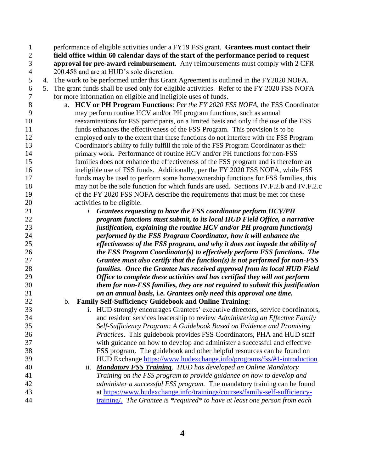performance of eligible activities under a FY19 FSS grant. **Grantees must contact their field office within 60 calendar days of the start of the performance period to request approval for pre-award reimbursement.** Any reimbursements must comply with 2 CFR 200.458 and are at HUD's sole discretion. 4. The work to be performed under this Grant Agreement is outlined in the FY2020 NOFA. 5. The grant funds shall be used only for eligible activities. Refer to the FY 2020 FSS NOFA for more information on eligible and ineligible uses of funds. a. **HCV or PH Program Functions**: *Per the FY 2020 FSS NOFA,* the FSS Coordinator may perform routine HCV and/or PH program functions, such as annual reexaminations for FSS participants, on a limited basis and only if the use of the FSS funds enhances the effectiveness of the FSS Program. This provision is to be employed only to the extent that these functions do not interfere with the FSS Program Coordinator's ability to fully fulfill the role of the FSS Program Coordinator as their primary work. Performance of routine HCV and/or PH functions for non-FSS families does not enhance the effectiveness of the FSS program and is therefore an ineligible use of FSS funds. Additionally, per the FY 2020 FSS NOFA, while FSS funds may be used to perform some homeownership functions for FSS families, this may not be the sole function for which funds are used. Sections IV.F.2.b and IV.F.2.c of the FY 2020 FSS NOFA describe the requirements that must be met for these activities to be eligible. *i. Grantees requesting to have the FSS coordinator perform HCV/PH program functions must submit, to its local HUD Field Office, a narrative justification, explaining the routine HCV and/or PH program function(s) performed by the FSS Program Coordinator, how it will enhance the effectiveness of the FSS program, and why it does not impede the ability of the FSS Program Coordinator(s) to effectively perform FSS functions. The Grantee must also certify that the function(s) is not performed for non-FSS families. Once the Grantee has received approval from its local HUD Field Office to complete these activities and has certified they will not perform them for non-FSS families, they are not required to submit this justification on an annual basis, i.e. Grantees only need this approval one time.* b. **Family Self-Sufficiency Guidebook and Online Training**: i. HUD strongly encourages Grantees' executive directors, service coordinators,

 and resident services leadership to review *Administering an Effective Family Self-Sufficiency Program: A Guidebook Based on Evidence and Promising Practices*. This guidebook provides FSS Coordinators, PHA and HUD staff with guidance on how to develop and administer a successful and effective FSS program. The guidebook and other helpful resources can be found on HUD Exchange<https://www.hudexchange.info/programs/fss/#1-introduction>

 ii. *Mandatory FSS Training. HUD has developed an Online Mandatory Training on the FSS program to provide guidance on how to develop and administer a successful FSS program.* The mandatory training can be found at [https://www.hudexchange.info/trainings/courses/family-self-sufficiency-](https://www.hudexchange.info/trainings/courses/family-self-sufficiency-training/)[training/.](https://www.hudexchange.info/trainings/courses/family-self-sufficiency-training/) *The Grantee is \*required\* to have at least one person from each*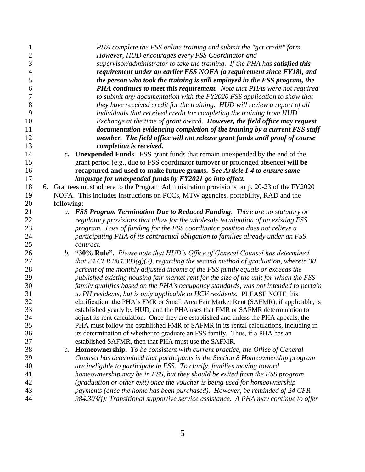| 1<br>$\overline{2}$ |                | PHA complete the FSS online training and submit the "get credit" form.<br>However, HUD encourages every FSS Coordinator and                                 |
|---------------------|----------------|-------------------------------------------------------------------------------------------------------------------------------------------------------------|
| 3<br>$\overline{4}$ |                | supervisor/administrator to take the training. If the PHA has satisfied this<br>requirement under an earlier FSS NOFA (a requirement since FY18), and       |
| 5                   |                | the person who took the training is still employed in the FSS program, the                                                                                  |
| 6                   |                | <b>PHA continues to meet this requirement.</b> Note that PHAs were not required                                                                             |
| 7                   |                | to submit any documentation with the FY2020 FSS application to show that                                                                                    |
| 8                   |                | they have received credit for the training. HUD will review a report of all                                                                                 |
| 9                   |                | individuals that received credit for completing the training from HUD                                                                                       |
| 10                  |                | Exchange at the time of grant award. However, the field office may request                                                                                  |
| 11                  |                | documentation evidencing completion of the training by a current FSS staff                                                                                  |
| 12                  |                | member. The field office will not release grant funds until proof of course                                                                                 |
| 13                  |                | completion is received.                                                                                                                                     |
| 14                  | $\mathbf{c}$ . | <b>Unexpended Funds.</b> FSS grant funds that remain unexpended by the end of the                                                                           |
| 15                  |                | grant period (e.g., due to FSS coordinator turnover or prolonged absence) will be                                                                           |
| 16                  |                | recaptured and used to make future grants. See Article I-4 to ensure same                                                                                   |
| 17                  |                | language for unexpended funds by FY2021 go into effect.                                                                                                     |
| 18                  |                | 6. Grantees must adhere to the Program Administration provisions on p. 20-23 of the FY2020                                                                  |
| 19                  |                | NOFA. This includes instructions on PCCs, MTW agencies, portability, RAD and the                                                                            |
| 20                  | following:     |                                                                                                                                                             |
| 21                  |                | a. FSS Program Termination Due to Reduced Funding. There are no statutory or                                                                                |
| 22                  |                | regulatory provisions that allow for the wholesale termination of an existing FSS                                                                           |
| 23                  |                | program. Loss of funding for the FSS coordinator position does not relieve a                                                                                |
| 24                  |                | participating PHA of its contractual obligation to families already under an FSS                                                                            |
| 25                  |                | contract.                                                                                                                                                   |
| 26                  | b.             | "30% Rule". Please note that HUD's Office of General Counsel has determined                                                                                 |
| 27                  |                | that 24 CFR 984.303(g)(2), regarding the second method of graduation, wherein 30                                                                            |
| 28                  |                | percent of the monthly adjusted income of the FSS family equals or exceeds the                                                                              |
| 29                  |                | published existing housing fair market rent for the size of the unit for which the FSS                                                                      |
| 30                  |                | family qualifies based on the PHA's occupancy standards, was not intended to pertain                                                                        |
| 31                  |                | to PH residents, but is only applicable to HCV residents. PLEASE NOTE this                                                                                  |
| 32                  |                | clarification: the PHA's FMR or Small Area Fair Market Rent (SAFMR), if applicable, is                                                                      |
| 33                  |                | established yearly by HUD, and the PHA uses that FMR or SAFMR determination to                                                                              |
| 34                  |                | adjust its rent calculation. Once they are established and unless the PHA appeals, the                                                                      |
| 35                  |                | PHA must follow the established FMR or SAFMR in its rental calculations, including in                                                                       |
| 36                  |                | its determination of whether to graduate an FSS family. Thus, if a PHA has an                                                                               |
| 37                  |                | established SAFMR, then that PHA must use the SAFMR.                                                                                                        |
| 38<br>39            | $c$ .          | <b>Homeownership.</b> To be consistent with current practice, the Office of General                                                                         |
| 40                  |                | Counsel has determined that participants in the Section 8 Homeownership program<br>are ineligible to participate in FSS. To clarify, families moving toward |
| 41                  |                | homeownership may be in FSS, but they should be exited from the FSS program                                                                                 |
| 42                  |                | (graduation or other exit) once the voucher is being used for homeownership                                                                                 |
| 43                  |                | payments (once the home has been purchased). However, be reminded of 24 CFR                                                                                 |
| 44                  |                | 984.303(j): Transitional supportive service assistance. A PHA may continue to offer                                                                         |
|                     |                |                                                                                                                                                             |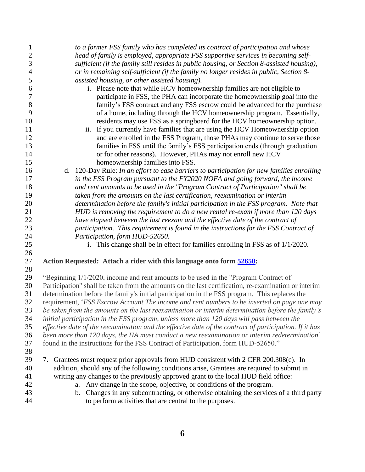| $\mathbf{1}$     | to a former FSS family who has completed its contract of participation and whose                                                                               |
|------------------|----------------------------------------------------------------------------------------------------------------------------------------------------------------|
| $\overline{2}$   | head of family is employed, appropriate FSS supportive services in becoming self-                                                                              |
| 3                | sufficient (if the family still resides in public housing, or Section 8-assisted housing),                                                                     |
| $\overline{4}$   | or in remaining self-sufficient (if the family no longer resides in public, Section 8-                                                                         |
| 5                | assisted housing, or other assisted housing).                                                                                                                  |
| 6                | i. Please note that while HCV homeownership families are not eligible to                                                                                       |
| $\boldsymbol{7}$ | participate in FSS, the PHA can incorporate the homeownership goal into the                                                                                    |
| 8                | family's FSS contract and any FSS escrow could be advanced for the purchase                                                                                    |
| 9                | of a home, including through the HCV homeownership program. Essentially,                                                                                       |
| 10               | residents may use FSS as a springboard for the HCV homeownership option.                                                                                       |
| 11               | ii. If you currently have families that are using the HCV Homeownership option                                                                                 |
| 12               | and are enrolled in the FSS Program, those PHAs may continue to serve those                                                                                    |
| 13               | families in FSS until the family's FSS participation ends (through graduation                                                                                  |
| 14               | or for other reasons). However, PHAs may not enroll new HCV                                                                                                    |
| 15               | homeownership families into FSS.                                                                                                                               |
| 16               | d. 120-Day Rule: In an effort to ease barriers to participation for new families enrolling                                                                     |
| 17               | in the FSS Program pursuant to the FY2020 NOFA and going forward, the income                                                                                   |
| 18               | and rent amounts to be used in the "Program Contract of Participation" shall be                                                                                |
| 19               | taken from the amounts on the last certification, reexamination or interim                                                                                     |
| 20               | determination before the family's initial participation in the FSS program. Note that                                                                          |
| 21               | HUD is removing the requirement to do a new rental re-exam if more than 120 days                                                                               |
| 22               | have elapsed between the last reexam and the effective date of the contract of                                                                                 |
| 23               | participation. This requirement is found in the instructions for the FSS Contract of                                                                           |
| 24               | Participation, form HUD-52650.                                                                                                                                 |
| 25               | i. This change shall be in effect for families enrolling in FSS as of 1/1/2020.                                                                                |
| 26               |                                                                                                                                                                |
| 27               | Action Requested: Attach a rider with this language onto form 52650:                                                                                           |
| 28               |                                                                                                                                                                |
| 29               | "Beginning 1/1/2020, income and rent amounts to be used in the "Program Contract of                                                                            |
| 30               | Participation" shall be taken from the amounts on the last certification, re-examination or interim                                                            |
| 31               | determination before the family's initial participation in the FSS program. This replaces the                                                                  |
| 32               | requirement, 'FSS Escrow Account The income and rent numbers to be inserted on page one may                                                                    |
| 33               | be taken from the amounts on the last reexamination or interim determination before the family's                                                               |
| 34               | initial participation in the FSS program, unless more than 120 days will pass between the                                                                      |
| 35               | effective date of the reexamination and the effective date of the contract of participation. If it has                                                         |
| 36               | been more than 120 days, the HA must conduct a new reexamination or interim redetermination'                                                                   |
| 37               | found in the instructions for the FSS Contract of Participation, form HUD-52650."                                                                              |
| 38               |                                                                                                                                                                |
| 39<br>40         | Grantees must request prior approvals from HUD consistent with 2 CFR 200.308(c). In<br>7.                                                                      |
|                  | addition, should any of the following conditions arise, Grantees are required to submit in                                                                     |
| 41<br>42         | writing any changes to the previously approved grant to the local HUD field office:<br>Any change in the scope, objective, or conditions of the program.<br>a. |
| 43               | b. Changes in any subcontracting, or otherwise obtaining the services of a third party                                                                         |
| 44               | to perform activities that are central to the purposes.                                                                                                        |
|                  |                                                                                                                                                                |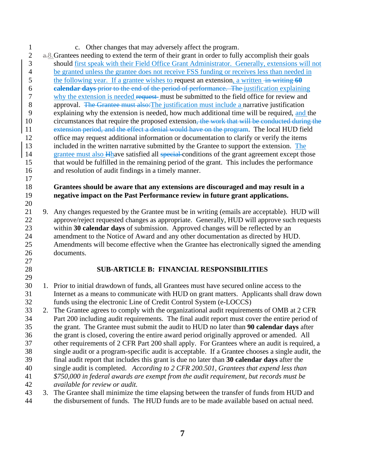c. Other changes that may adversely affect the program.

 $2 \text{ a.8}.$  Grantees needing to extend the term of their grant in order to fully accomplish their goals should first speak with their Field Office Grant Administrator. Generally, extensions will not be granted unless the grantee does not receive FSS funding or receives less than needed in 5 the following year. If a grantee wishes to request an extension, a written  $\frac{1}{x}$  written  $\frac{1}{y}$  **calendar days** prior to the end of the period of performance. The justification explaining why the extension is needed request must be submitted to the field office for review and 8 approval. The Grantee must also: The justification must include a narrative justification explaining why the extension is needed, how much additional time will be required, and the circumstances that require the proposed extension, the work that will be conducted during the 11 extension period, and the effect a denial would have on the program. The local HUD field office may request additional information or documentation to clarify or verify the items included in the written narrative submitted by the Grantee to support the extension. The 14 grantee must also Hhave satisfied all special conditions of the grant agreement except those that would be fulfilled in the remaining period of the grant. This includes the performance and resolution of audit findings in a timely manner.

#### **Grantees should be aware that any extensions are discouraged and may result in a negative impact on the Past Performance review in future grant applications.**

 9. Any changes requested by the Grantee must be in writing (emails are acceptable). HUD will approve/reject requested changes as appropriate. Generally, HUD will approve such requests within **30 calendar days** of submission. Approved changes will be reflected by an amendment to the Notice of Award and any other documentation as directed by HUD. Amendments will become effective when the Grantee has electronically signed the amending documents.

## **SUB-ARTICLE B: FINANCIAL RESPONSIBILITIES**

 1. Prior to initial drawdown of funds, all Grantees must have secured online access to the Internet as a means to communicate with HUD on grant matters. Applicants shall draw down funds using the electronic Line of Credit Control System (e-LOCCS)

 2. The Grantee agrees to comply with the organizational audit requirements of OMB at 2 CFR Part 200 including audit requirements. The final audit report must cover the entire period of the grant. The Grantee must submit the audit to HUD no later than **90 calendar days** after the grant is closed, covering the entire award period originally approved or amended. All other requirements of 2 CFR Part 200 shall apply. For Grantees where an audit is required, a single audit or a program-specific audit is acceptable. If a Grantee chooses a single audit, the final audit report that includes this grant is due no later than **30 calendar days** after the single audit is completed. *According to 2 CFR 200.501, Grantees that expend less than* 

 *\$750,000 in federal awards are exempt from the audit requirement, but records must be available for review or audit.*

 3. The Grantee shall minimize the time elapsing between the transfer of funds from HUD and the disbursement of funds. The HUD funds are to be made available based on actual need.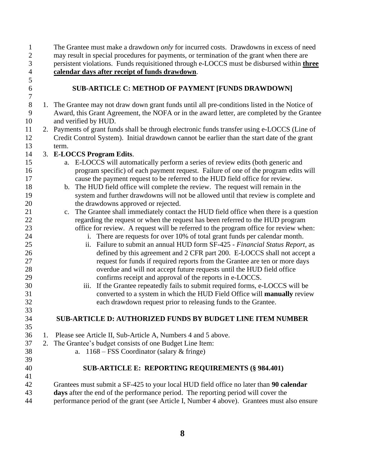- may result in special procedures for payments, or termination of the grant when there are
- 
- persistent violations. Funds requisitioned through e-LOCCS must be disbursed within **three calendar days after receipt of funds drawdown**.
- 

#### **SUB-ARTICLE C: METHOD OF PAYMENT [FUNDS DRAWDOWN]**

 1. The Grantee may not draw down grant funds until all pre-conditions listed in the Notice of Award, this Grant Agreement, the NOFA or in the award letter, are completed by the Grantee and verified by HUD.

The Grantee must make a drawdown *only* for incurred costs. Drawdowns in excess of need

 2. Payments of grant funds shall be through electronic funds transfer using e-LOCCS (Line of Credit Control System). Initial drawdown cannot be earlier than the start date of the grant term.

## 3. **E-LOCCS Program Edits**.

- a. E-LOCCS will automatically perform a series of review edits (both generic and program specific) of each payment request. Failure of one of the program edits will cause the payment request to be referred to the HUD field office for review.
- b. The HUD field office will complete the review. The request will remain in the system and further drawdowns will not be allowed until that review is complete and 20 the drawdowns approved or rejected.
- c. The Grantee shall immediately contact the HUD field office when there is a question regarding the request or when the request has been referred to the HUD program office for review. A request will be referred to the program office for review when:
- i. There are requests for over 10% of total grant funds per calendar month.
- ii. Failure to submit an annual HUD form SF-425 *Financial Status Report,* as defined by this agreement and 2 CFR part 200. E-LOCCS shall not accept a request for funds if required reports from the Grantee are ten or more days overdue and will not accept future requests until the HUD field office confirms receipt and approval of the reports in e-LOCCS.
- iii. If the Grantee repeatedly fails to submit required forms, e-LOCCS will be converted to a system in which the HUD Field Office will **manually** review each drawdown request prior to releasing funds to the Grantee.

## **SUB-ARTICLE D: AUTHORIZED FUNDS BY BUDGET LINE ITEM NUMBER**

- 1. Please see Article II, Sub-Article A, Numbers 4 and 5 above.
- 2. The Grantee's budget consists of one Budget Line Item:
- 

a. 1168 – FSS Coordinator (salary & fringe)

#### **SUB-ARTICLE E: REPORTING REQUIREMENTS (§ 984.401)**

- Grantees must submit a SF-425 to your local HUD field office no later than **90 calendar days** after the end of the performance period. The reporting period will cover the
- performance period of the grant (see Article I, Number 4 above). Grantees must also ensure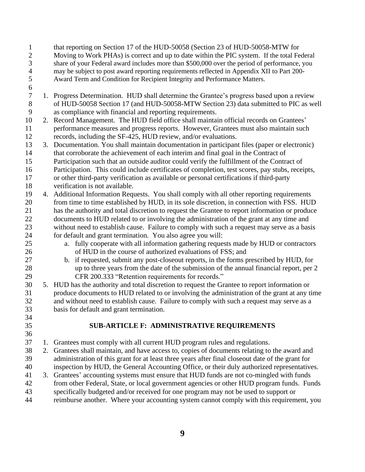that reporting on Section 17 of the HUD-50058 (Section 23 of HUD-50058-MTW for 2 Moving to Work PHAs) is correct and up to date within the PIC system. If the total Federal<br>3 share of your Federal award includes more than \$500,000 over the period of performance, you share of your Federal award includes more than \$500,000 over the period of performance, you 4 may be subject to post award reporting requirements reflected in Appendix XII to Part 200-<br>5 Award Term and Condition for Recipient Integrity and Performance Matters. Award Term and Condition for Recipient Integrity and Performance Matters.

- 1. Progress Determination. HUD shall determine the Grantee's progress based upon a review of HUD-50058 Section 17 (and HUD-50058-MTW Section 23) data submitted to PIC as well as compliance with financial and reporting requirements.
- 2. Record Management. The HUD field office shall maintain official records on Grantees' performance measures and progress reports. However, Grantees must also maintain such records, including the SF-425, HUD review, and/or evaluations.
- 3. Documentation. You shall maintain documentation in participant files (paper or electronic) that corroborate the achievement of each interim and final goal in the Contract of Participation such that an outside auditor could verify the fulfillment of the Contract of Participation. This could include certificates of completion, test scores, pay stubs, receipts, or other third-party verification as available or personal certifications if third-party verification is not available.
- 4. Additional Information Requests. You shall comply with all other reporting requirements from time to time established by HUD, in its sole discretion, in connection with FSS. HUD has the authority and total discretion to request the Grantee to report information or produce documents to HUD related to or involving the administration of the grant at any time and without need to establish cause. Failure to comply with such a request may serve as a basis for default and grant termination. You also agree you will:
- a. fully cooperate with all information gathering requests made by HUD or contractors of HUD in the course of authorized evaluations of FSS; and
- b. if requested, submit any post-closeout reports, in the forms prescribed by HUD, for up to three years from the date of the submission of the annual financial report, per 2 CFR 200.333 "Retention requirements for records."
- 5. HUD has the authority and total discretion to request the Grantee to report information or produce documents to HUD related to or involving the administration of the grant at any time and without need to establish cause. Failure to comply with such a request may serve as a basis for default and grant termination.
- 

# **SUB-ARTICLE F: ADMINISTRATIVE REQUIREMENTS**

- 1. Grantees must comply with all current HUD program rules and regulations.
- 2. Grantees shall maintain, and have access to, copies of documents relating to the award and administration of this grant for at least three years after final closeout date of the grant for inspection by HUD, the General Accounting Office, or their duly authorized representatives.
- 3. Grantees' accounting systems must ensure that HUD funds are not co-mingled with funds from other Federal, State, or local government agencies or other HUD program funds. Funds
- specifically budgeted and/or received for one program may not be used to support or
- reimburse another. Where your accounting system cannot comply with this requirement, you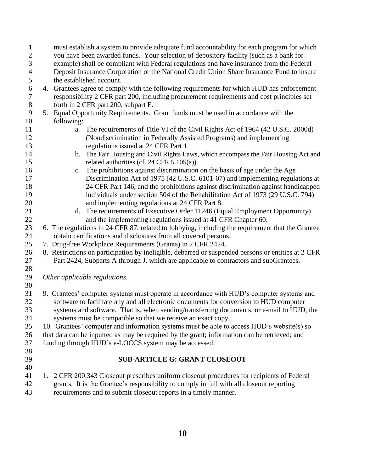| $\mathbf{1}$     | must establish a system to provide adequate fund accountability for each program for which         |
|------------------|----------------------------------------------------------------------------------------------------|
| $\overline{2}$   | you have been awarded funds. Your selection of depository facility (such as a bank for             |
| 3                | example) shall be compliant with Federal regulations and have insurance from the Federal           |
| $\overline{4}$   | Deposit Insurance Corporation or the National Credit Union Share Insurance Fund to insure          |
| 5                | the established account.                                                                           |
| 6                | 4. Grantees agree to comply with the following requirements for which HUD has enforcement          |
| $\boldsymbol{7}$ | responsibility 2 CFR part 200, including procurement requirements and cost principles set          |
| $8\,$            | forth in 2 CFR part 200, subpart E.                                                                |
| 9                | 5. Equal Opportunity Requirements. Grant funds must be used in accordance with the                 |
| 10               | following:                                                                                         |
| 11               | The requirements of Title VI of the Civil Rights Act of 1964 (42 U.S.C. 2000d)<br>a.               |
| 12               | (Nondiscrimination in Federally Assisted Programs) and implementing                                |
| 13               | regulations issued at 24 CFR Part 1.                                                               |
| 14               | The Fair Housing and Civil Rights Laws, which encompass the Fair Housing Act and<br>b.             |
| 15               | related authorities (cf. 24 CFR 5.105(a)).                                                         |
| 16               | The prohibitions against discrimination on the basis of age under the Age<br>c.                    |
| 17               | Discrimination Act of 1975 (42 U.S.C. 6101-07) and implementing regulations at                     |
| 18               | 24 CFR Part 146, and the prohibitions against discrimination against handicapped                   |
| 19               | individuals under section 504 of the Rehabilitation Act of 1973 (29 U.S.C. 794)                    |
| 20               | and implementing regulations at 24 CFR Part 8.                                                     |
| 21               | The requirements of Executive Order 11246 (Equal Employment Opportunity)<br>$d_{\cdot}$            |
| 22               | and the implementing regulations issued at 41 CFR Chapter 60.                                      |
| 23               | 6. The regulations in 24 CFR 87, related to lobbying, including the requirement that the Grantee   |
| 24               | obtain certifications and disclosures from all covered persons.                                    |
| 25               | 7. Drug-free Workplace Requirements (Grants) in 2 CFR 2424.                                        |
| 26               | 8. Restrictions on participation by ineligible, debarred or suspended persons or entities at 2 CFR |
| 27               | Part 2424, Subparts A through J, which are applicable to contractors and subGrantees.              |
| 28               |                                                                                                    |
| 29               | Other applicable regulations.                                                                      |
| 30               |                                                                                                    |
| 31               | 9. Grantees' computer systems must operate in accordance with HUD's computer systems and           |
| 32               | software to facilitate any and all electronic documents for conversion to HUD computer             |
| 33               | systems and software. That is, when sending/transferring documents, or e-mail to HUD, the          |
| 34               | systems must be compatible so that we receive an exact copy.                                       |
| 35               | 10. Grantees' computer and information systems must be able to access HUD's website(s) so          |
| 36               | that data can be inputted as may be required by the grant; information can be retrieved; and       |
| 37               | funding through HUD's e-LOCCS system may be accessed.                                              |
| 38               |                                                                                                    |
| 39               | <b>SUB-ARTICLE G: GRANT CLOSEOUT</b>                                                               |
| 40               |                                                                                                    |
| 41               | 1. 2 CFR 200.343 Closeout prescribes uniform closeout procedures for recipients of Federal         |
| 42               | grants. It is the Grantee's responsibility to comply in full with all closeout reporting           |
| 43               | requirements and to submit closeout reports in a timely manner.                                    |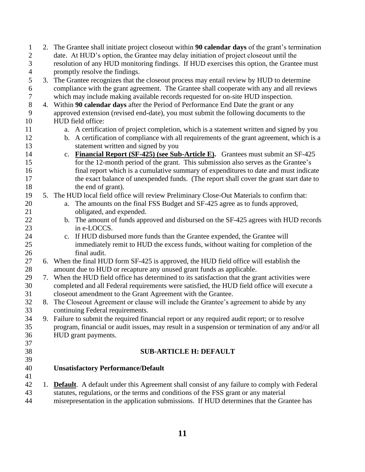| $\mathbf{1}$   | 2. The Grantee shall initiate project closeout within 90 calendar days of the grant's termination      |  |  |
|----------------|--------------------------------------------------------------------------------------------------------|--|--|
| $\mathbf{2}$   | date. At HUD's option, the Grantee may delay initiation of project closeout until the                  |  |  |
| 3              | resolution of any HUD monitoring findings. If HUD exercises this option, the Grantee must              |  |  |
| $\overline{4}$ | promptly resolve the findings.                                                                         |  |  |
| $\mathfrak{S}$ | 3. The Grantee recognizes that the closeout process may entail review by HUD to determine              |  |  |
| 6              | compliance with the grant agreement. The Grantee shall cooperate with any and all reviews              |  |  |
| $\overline{7}$ | which may include making available records requested for on-site HUD inspection.                       |  |  |
| $8\,$          | 4. Within 90 calendar days after the Period of Performance End Date the grant or any                   |  |  |
| $\mathbf{9}$   | approved extension (revised end-date), you must submit the following documents to the                  |  |  |
| 10             | HUD field office:                                                                                      |  |  |
| 11             | a. A certification of project completion, which is a statement written and signed by you               |  |  |
| 12             | b. A certification of compliance with all requirements of the grant agreement, which is a              |  |  |
| 13             | statement written and signed by you                                                                    |  |  |
| 14             | <b>Financial Report (SF-425) (see Sub-Article E).</b> Grantees must submit an SF-425<br>c.             |  |  |
| 15             | for the 12-month period of the grant. This submission also serves as the Grantee's                     |  |  |
| 16             | final report which is a cumulative summary of expenditures to date and must indicate                   |  |  |
| 17             | the exact balance of unexpended funds. (The report shall cover the grant start date to                 |  |  |
| 18             | the end of grant).                                                                                     |  |  |
| 19             | 5. The HUD local field office will review Preliminary Close-Out Materials to confirm that:             |  |  |
| 20             | The amounts on the final FSS Budget and SF-425 agree as to funds approved,<br>a.                       |  |  |
| 21             | obligated, and expended.                                                                               |  |  |
| 22             | b. The amount of funds approved and disbursed on the SF-425 agrees with HUD records                    |  |  |
| 23             | in e-LOCCS.                                                                                            |  |  |
| 24             | c. If HUD disbursed more funds than the Grantee expended, the Grantee will                             |  |  |
| 25             | immediately remit to HUD the excess funds, without waiting for completion of the                       |  |  |
| 26             | final audit.                                                                                           |  |  |
| 27             | 6. When the final HUD form SF-425 is approved, the HUD field office will establish the                 |  |  |
| 28             | amount due to HUD or recapture any unused grant funds as applicable.                                   |  |  |
| 29             | 7. When the HUD field office has determined to its satisfaction that the grant activities were         |  |  |
| 30             | completed and all Federal requirements were satisfied, the HUD field office will execute a             |  |  |
| 31             | closeout amendment to the Grant Agreement with the Grantee.                                            |  |  |
| 32             | 8. The Closeout Agreement or clause will include the Grantee's agreement to abide by any               |  |  |
| 33             | continuing Federal requirements.                                                                       |  |  |
| 34             | 9. Failure to submit the required financial report or any required audit report; or to resolve         |  |  |
| 35             | program, financial or audit issues, may result in a suspension or termination of any and/or all        |  |  |
| 36             | HUD grant payments.                                                                                    |  |  |
| 37             |                                                                                                        |  |  |
| 38             | <b>SUB-ARTICLE H: DEFAULT</b>                                                                          |  |  |
| 39             |                                                                                                        |  |  |
| 40             | <b>Unsatisfactory Performance/Default</b>                                                              |  |  |
| 41             |                                                                                                        |  |  |
| 42             | 1. <b>Default</b> . A default under this Agreement shall consist of any failure to comply with Federal |  |  |
| 43             | statutes, regulations, or the terms and conditions of the FSS grant or any material                    |  |  |
| 44             | misrepresentation in the application submissions. If HUD determines that the Grantee has               |  |  |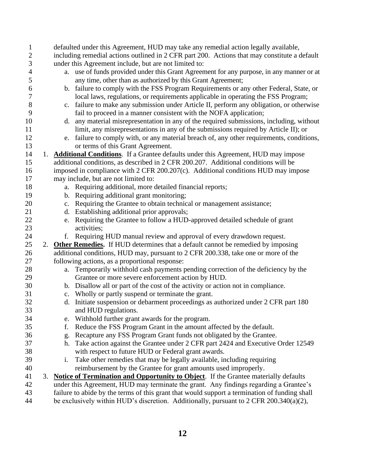| $\mathbf{1}$   |    |    | defaulted under this Agreement, HUD may take any remedial action legally available,                |
|----------------|----|----|----------------------------------------------------------------------------------------------------|
| $\mathbf{2}$   |    |    | including remedial actions outlined in 2 CFR part 200. Actions that may constitute a default       |
| 3              |    |    | under this Agreement include, but are not limited to:                                              |
| $\overline{4}$ |    |    | a. use of funds provided under this Grant Agreement for any purpose, in any manner or at           |
| 5              |    |    | any time, other than as authorized by this Grant Agreement;                                        |
| 6              |    |    | b. failure to comply with the FSS Program Requirements or any other Federal, State, or             |
| $\overline{7}$ |    |    | local laws, regulations, or requirements applicable in operating the FSS Program;                  |
| $8\,$          |    |    | c. failure to make any submission under Article II, perform any obligation, or otherwise           |
| 9              |    |    | fail to proceed in a manner consistent with the NOFA application;                                  |
| 10             |    |    | d. any material misrepresentation in any of the required submissions, including, without           |
| 11             |    |    | limit, any misrepresentations in any of the submissions required by Article II); or                |
| 12             |    |    | e. failure to comply with, or any material breach of, any other requirements, conditions,          |
| 13             |    |    | or terms of this Grant Agreement.                                                                  |
| 14             | 1. |    | <b>Additional Conditions.</b> If a Grantee defaults under this Agreement, HUD may impose           |
| 15             |    |    | additional conditions, as described in 2 CFR 200.207. Additional conditions will be                |
| 16             |    |    | imposed in compliance with 2 CFR 200.207(c). Additional conditions HUD may impose                  |
| 17             |    |    | may include, but are not limited to:                                                               |
| 18             |    | a. | Requiring additional, more detailed financial reports;                                             |
| 19             |    |    | b. Requiring additional grant monitoring;                                                          |
| 20             |    |    | c. Requiring the Grantee to obtain technical or management assistance;                             |
| 21             |    |    | d. Establishing additional prior approvals;                                                        |
| 22             |    |    | e. Requiring the Grantee to follow a HUD-approved detailed schedule of grant                       |
| 23             |    |    | activities;                                                                                        |
| 24             |    |    | f. Requiring HUD manual review and approval of every drawdown request.                             |
| 25             |    |    | 2. Other Remedies. If HUD determines that a default cannot be remedied by imposing                 |
| 26             |    |    | additional conditions, HUD may, pursuant to 2 CFR 200.338, take one or more of the                 |
| 27             |    |    | following actions, as a proportional response:                                                     |
| 28             |    | a. | Temporarily withhold cash payments pending correction of the deficiency by the                     |
| 29             |    |    | Grantee or more severe enforcement action by HUD.                                                  |
| 30             |    |    | b. Disallow all or part of the cost of the activity or action not in compliance.                   |
| 31             |    |    | c. Wholly or partly suspend or terminate the grant.                                                |
| 32             |    |    | d. Initiate suspension or debarment proceedings as authorized under 2 CFR part 180                 |
| 33             |    |    | and HUD regulations.                                                                               |
| 34             |    | e. | Withhold further grant awards for the program.                                                     |
| 35             |    | f. | Reduce the FSS Program Grant in the amount affected by the default.                                |
| 36             |    | g. | Recapture any FSS Program Grant funds not obligated by the Grantee.                                |
| 37             |    | h. | Take action against the Grantee under 2 CFR part 2424 and Executive Order 12549                    |
| 38             |    |    | with respect to future HUD or Federal grant awards.                                                |
| 39             |    | i. | Take other remedies that may be legally available, including requiring                             |
| 40             |    |    | reimbursement by the Grantee for grant amounts used improperly.                                    |
| 41             | 3. |    | <b>Notice of Termination and Opportunity to Object.</b> If the Grantee materially defaults         |
| 42             |    |    | under this Agreement, HUD may terminate the grant. Any findings regarding a Grantee's              |
| 43             |    |    | failure to abide by the terms of this grant that would support a termination of funding shall      |
| 44             |    |    | be exclusively within HUD's discretion. Additionally, pursuant to $2 \text{ CFR } 200.340(a)(2)$ , |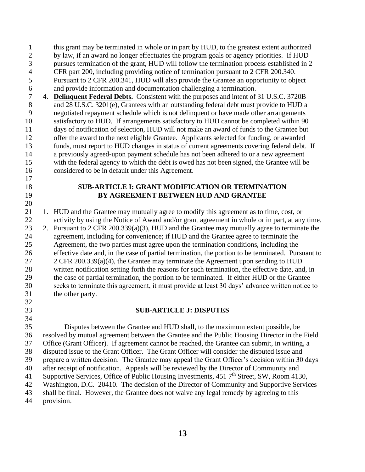this grant may be terminated in whole or in part by HUD, to the greatest extent authorized by law, if an award no longer effectuates the program goals or agency priorities. If HUD pursues termination of the grant, HUD will follow the termination process established in 2 CFR part 200, including providing notice of termination pursuant to 2 CFR 200.340. Pursuant to 2 CFR 200.341, HUD will also provide the Grantee an opportunity to object and provide information and documentation challenging a termination.

 4. **Delinquent Federal Debts.** Consistent with the purposes and intent of 31 U.S.C. 3720B 8 and 28 U.S.C. 3201(e), Grantees with an outstanding federal debt must provide to HUD a negotiated repayment schedule which is not delinquent or have made other arrangements satisfactory to HUD. If arrangements satisfactory to HUD cannot be completed within 90 days of notification of selection, HUD will not make an award of funds to the Grantee but offer the award to the next eligible Grantee. Applicants selected for funding, or awarded funds, must report to HUD changes in status of current agreements covering federal debt. If a previously agreed-upon payment schedule has not been adhered to or a new agreement with the federal agency to which the debt is owed has not been signed, the Grantee will be considered to be in default under this Agreement.

# 

#### **SUB-ARTICLE I: GRANT MODIFICATION OR TERMINATION BY AGREEMENT BETWEEN HUD AND GRANTEE**

 1. HUD and the Grantee may mutually agree to modify this agreement as to time, cost, or 22 activity by using the Notice of Award and/or grant agreement in whole or in part, at any time.

- 2. Pursuant to 2 CFR 200.339(a)(3), HUD and the Grantee may mutually agree to terminate the agreement, including for convenience; if HUD and the Grantee agree to terminate the Agreement, the two parties must agree upon the termination conditions, including the effective date and, in the case of partial termination, the portion to be terminated. Pursuant to 2 CFR 200.339(a)(4), the Grantee may terminate the Agreement upon sending to HUD written notification setting forth the reasons for such termination, the effective date, and, in the case of partial termination, the portion to be terminated. If either HUD or the Grantee seeks to terminate this agreement, it must provide at least 30 days' advance written notice to the other party.
- 
- 

#### **SUB-ARTICLE J: DISPUTES**

 Disputes between the Grantee and HUD shall, to the maximum extent possible, be resolved by mutual agreement between the Grantee and the Public Housing Director in the Field Office (Grant Officer). If agreement cannot be reached, the Grantee can submit, in writing, a disputed issue to the Grant Officer. The Grant Officer will consider the disputed issue and prepare a written decision. The Grantee may appeal the Grant Officer's decision within 30 days after receipt of notification. Appeals will be reviewed by the Director of Community and 41 Supportive Services, Office of Public Housing Investments, 451 7<sup>th</sup> Street, SW, Room 4130, Washington, D.C. 20410. The decision of the Director of Community and Supportive Services shall be final. However, the Grantee does not waive any legal remedy by agreeing to this provision.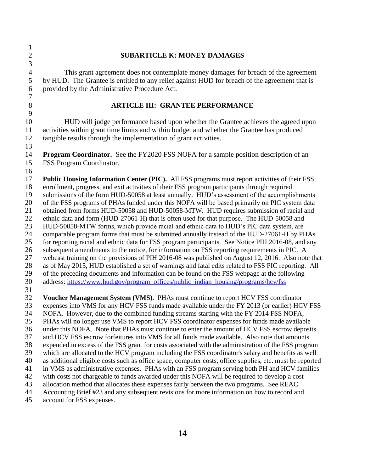| $\mathbf{1}$   |                                                                                                                                                                                         |
|----------------|-----------------------------------------------------------------------------------------------------------------------------------------------------------------------------------------|
| $\overline{c}$ | <b>SUBARTICLE K: MONEY DAMAGES</b>                                                                                                                                                      |
| 3              |                                                                                                                                                                                         |
| $\overline{4}$ | This grant agreement does not contemplate money damages for breach of the agreement                                                                                                     |
| 5              | by HUD. The Grantee is entitled to any relief against HUD for breach of the agreement that is                                                                                           |
| 6              | provided by the Administrative Procedure Act.                                                                                                                                           |
| $\tau$         |                                                                                                                                                                                         |
| $8\,$          | <b>ARTICLE III: GRANTEE PERFORMANCE</b>                                                                                                                                                 |
| $\mathbf{9}$   |                                                                                                                                                                                         |
| 10             | HUD will judge performance based upon whether the Grantee achieves the agreed upon                                                                                                      |
| 11             | activities within grant time limits and within budget and whether the Grantee has produced                                                                                              |
| 12             | tangible results through the implementation of grant activities.                                                                                                                        |
| 13             |                                                                                                                                                                                         |
|                |                                                                                                                                                                                         |
| 14             | <b>Program Coordinator.</b> See the FY2020 FSS NOFA for a sample position description of an                                                                                             |
| 15             | FSS Program Coordinator.                                                                                                                                                                |
| 16             |                                                                                                                                                                                         |
| 17             | Public Housing Information Center (PIC). All FSS programs must report activities of their FSS                                                                                           |
| 18             | enrollment, progress, and exit activities of their FSS program participants through required                                                                                            |
| 19             | submissions of the form HUD-50058 at least annually. HUD's assessment of the accomplishments                                                                                            |
| 20<br>21       | of the FSS programs of PHAs funded under this NOFA will be based primarily on PIC system data<br>obtained from forms HUD-50058 and HUD-50058-MTW. HUD requires submission of racial and |
| 22             | ethnic data and form (HUD-27061-H) that is often used for that purpose. The HUD-50058 and                                                                                               |
| 23             | HUD-50058-MTW forms, which provide racial and ethnic data to HUD's PIC data system, are                                                                                                 |
| 24             | comparable program forms that must be submitted annually instead of the HUD-27061-H by PHAs                                                                                             |
| 25             | for reporting racial and ethnic data for FSS program participants. See Notice PIH 2016-08, and any                                                                                      |
| 26             | subsequent amendments to the notice, for information on FSS reporting requirements in PIC. A                                                                                            |
| 27             | webcast training on the provisions of PIH 2016-08 was published on August 12, 2016. Also note that                                                                                      |
| 28             | as of May 2015, HUD established a set of warnings and fatal edits related to FSS PIC reporting. All                                                                                     |
| 29             | of the preceding documents and information can be found on the FSS webpage at the following                                                                                             |
| 30             | address: https://www.hud.gov/program_offices/public_indian_housing/programs/hcv/fss                                                                                                     |
| 31             |                                                                                                                                                                                         |
| 32             | Voucher Management System (VMS). PHAs must continue to report HCV FSS coordinator                                                                                                       |
| 33             | expenses into VMS for any HCV FSS funds made available under the FY 2013 (or earlier) HCV FSS                                                                                           |
| 34             | NOFA. However, due to the combined funding streams starting with the FY 2014 FSS NOFA,                                                                                                  |
| 35             | PHAs will no longer use VMS to report HCV FSS coordinator expenses for funds made available                                                                                             |
| 36             | under this NOFA. Note that PHAs must continue to enter the amount of HCV FSS escrow deposits                                                                                            |
| 37             | and HCV FSS escrow forfeitures into VMS for all funds made available. Also note that amounts                                                                                            |
| 38             | expended in excess of the FSS grant for costs associated with the administration of the FSS program                                                                                     |
| 39             | which are allocated to the HCV program including the FSS coordinator's salary and benefits as well                                                                                      |
| 40             | as additional eligible costs such as office space, computer costs, office supplies, etc. must be reported                                                                               |
| 41             | in VMS as administrative expenses. PHAs with an FSS program serving both PH and HCV families                                                                                            |
| 42             | with costs not chargeable to funds awarded under this NOFA will be required to develop a cost                                                                                           |
| 43             | allocation method that allocates these expenses fairly between the two programs. See REAC                                                                                               |
| 44             | Accounting Brief #23 and any subsequent revisions for more information on how to record and                                                                                             |
| 45             | account for FSS expenses.                                                                                                                                                               |